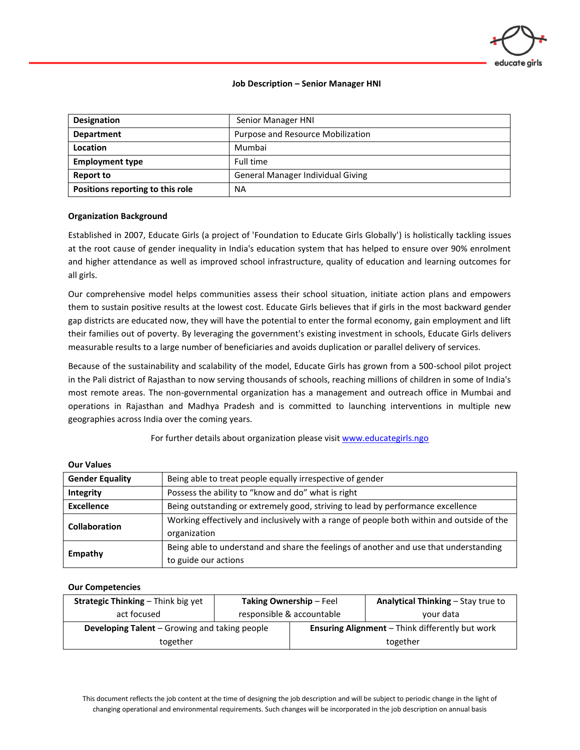

### **Job Description – Senior Manager HNI**

| <b>Designation</b>               | Senior Manager HNI                |  |  |
|----------------------------------|-----------------------------------|--|--|
| <b>Department</b>                | Purpose and Resource Mobilization |  |  |
| Location                         | Mumbai                            |  |  |
| <b>Employment type</b>           | Full time                         |  |  |
| Report to                        | General Manager Individual Giving |  |  |
| Positions reporting to this role | <b>NA</b>                         |  |  |

#### **Organization Background**

Established in 2007, Educate Girls (a project of 'Foundation to Educate Girls Globally') is holistically tackling issues at the root cause of gender inequality in India's education system that has helped to ensure over 90% enrolment and higher attendance as well as improved school infrastructure, quality of education and learning outcomes for all girls.

Our comprehensive model helps communities assess their school situation, initiate action plans and empowers them to sustain positive results at the lowest cost. Educate Girls believes that if girls in the most backward gender gap districts are educated now, they will have the potential to enter the formal economy, gain employment and lift their families out of poverty. By leveraging the government's existing investment in schools, Educate Girls delivers measurable results to a large number of beneficiaries and avoids duplication or parallel delivery of services.

Because of the sustainability and scalability of the model, Educate Girls has grown from a 500-school pilot project in the Pali district of Rajasthan to now serving thousands of schools, reaching millions of children in some of India's most remote areas. The non-governmental organization has a management and outreach office in Mumbai and operations in Rajasthan and Madhya Pradesh and is committed to launching interventions in multiple new geographies across India over the coming years.

For further details about organization please visi[t www.educategirls.ngo](http://www.educategirls.ngo/)

| <b>Gender Equality</b> | Being able to treat people equally irrespective of gender                                 |  |
|------------------------|-------------------------------------------------------------------------------------------|--|
| Integrity              | Possess the ability to "know and do" what is right                                        |  |
| <b>Excellence</b>      | Being outstanding or extremely good, striving to lead by performance excellence           |  |
| <b>Collaboration</b>   | Working effectively and inclusively with a range of people both within and outside of the |  |
|                        | organization                                                                              |  |
| Empathy                | Being able to understand and share the feelings of another and use that understanding     |  |
|                        | to guide our actions                                                                      |  |

#### **Our Values**

#### **Our Competencies**

| <b>Strategic Thinking - Think big yet</b>            | <b>Taking Ownership - Feel</b> |                                                        | <b>Analytical Thinking – Stay true to</b> |
|------------------------------------------------------|--------------------------------|--------------------------------------------------------|-------------------------------------------|
| act focused                                          | responsible & accountable      |                                                        | vour data                                 |
| <b>Developing Talent</b> – Growing and taking people |                                | <b>Ensuring Alignment</b> - Think differently but work |                                           |
| together                                             |                                | together                                               |                                           |

This document reflects the job content at the time of designing the job description and will be subject to periodic change in the light of changing operational and environmental requirements. Such changes will be incorporated in the job description on annual basis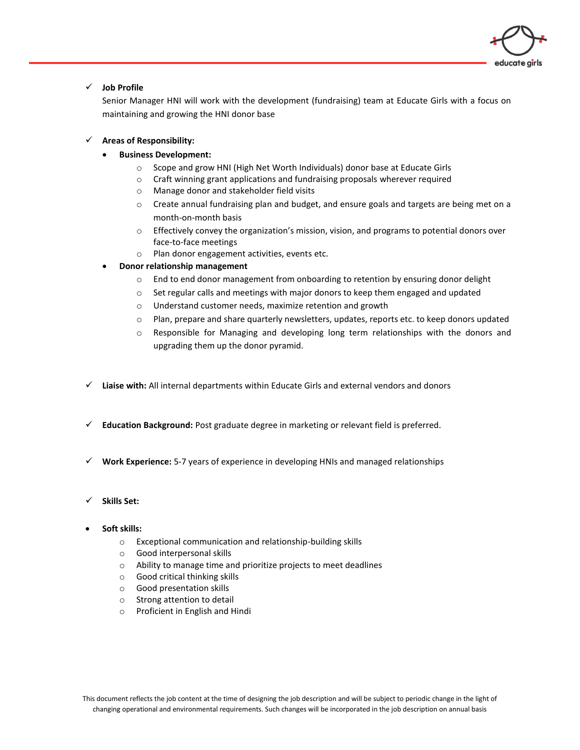

## ✓ **Job Profile**

Senior Manager HNI will work with the development (fundraising) team at Educate Girls with a focus on maintaining and growing the HNI donor base

## ✓ **Areas of Responsibility:**

## • **Business Development:**

- o Scope and grow HNI (High Net Worth Individuals) donor base at Educate Girls
- $\circ$  Craft winning grant applications and fundraising proposals wherever required
- o Manage donor and stakeholder field visits
- $\circ$  Create annual fundraising plan and budget, and ensure goals and targets are being met on a month-on-month basis
- $\circ$  Effectively convey the organization's mission, vision, and programs to potential donors over face-to-face meetings
- o Plan donor engagement activities, events etc.

# • **Donor relationship management**

- $\circ$  End to end donor management from onboarding to retention by ensuring donor delight
- $\circ$  Set regular calls and meetings with major donors to keep them engaged and updated
- o Understand customer needs, maximize retention and growth
- o Plan, prepare and share quarterly newsletters, updates, reports etc. to keep donors updated
- o Responsible for Managing and developing long term relationships with the donors and upgrading them up the donor pyramid.
- ✓ **Liaise with:** All internal departments within Educate Girls and external vendors and donors
- ✓ **Education Background:** Post graduate degree in marketing or relevant field is preferred.
- ✓ **Work Experience:** 5-7 years of experience in developing HNIs and managed relationships
- ✓ **Skills Set:**
- **Soft skills:**
	- o Exceptional communication and relationship-building skills
	- o Good interpersonal skills
	- o Ability to manage time and prioritize projects to meet deadlines
	- o Good critical thinking skills
	- o Good presentation skills
	- o Strong attention to detail
	- o Proficient in English and Hindi